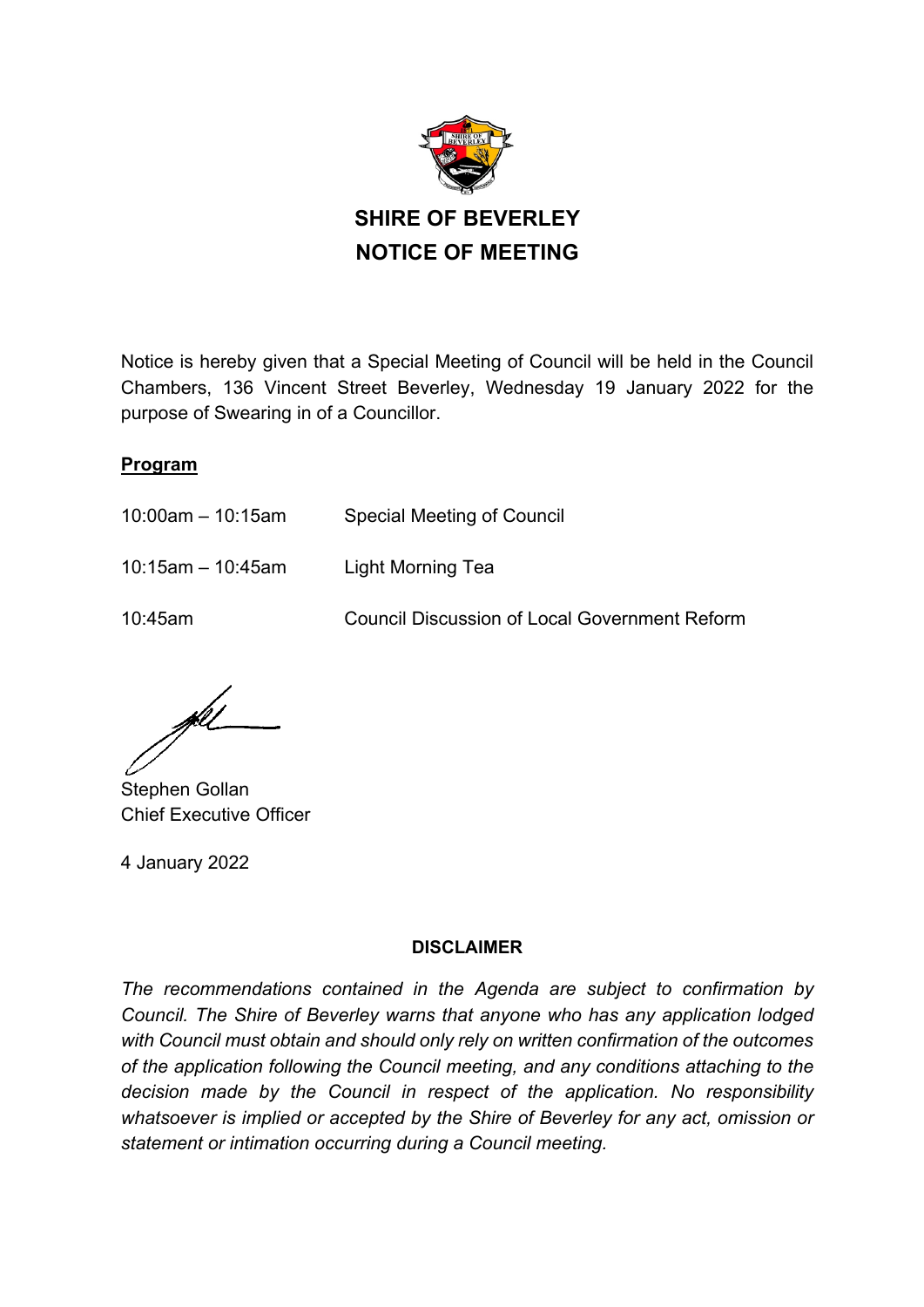

Notice is hereby given that a Special Meeting of Council will be held in the Council Chambers, 136 Vincent Street Beverley, Wednesday 19 January 2022 for the purpose of Swearing in of a Councillor.

#### **Program**

- 10:00am 10:15am Special Meeting of Council
- 10:15am 10:45am Light Morning Tea

10:45am Council Discussion of Local Government Reform

Stephen Gollan Chief Executive Officer

4 January 2022

#### **DISCLAIMER**

*The recommendations contained in the Agenda are subject to confirmation by Council. The Shire of Beverley warns that anyone who has any application lodged with Council must obtain and should only rely on written confirmation of the outcomes of the application following the Council meeting, and any conditions attaching to the decision made by the Council in respect of the application. No responsibility whatsoever is implied or accepted by the Shire of Beverley for any act, omission or statement or intimation occurring during a Council meeting.*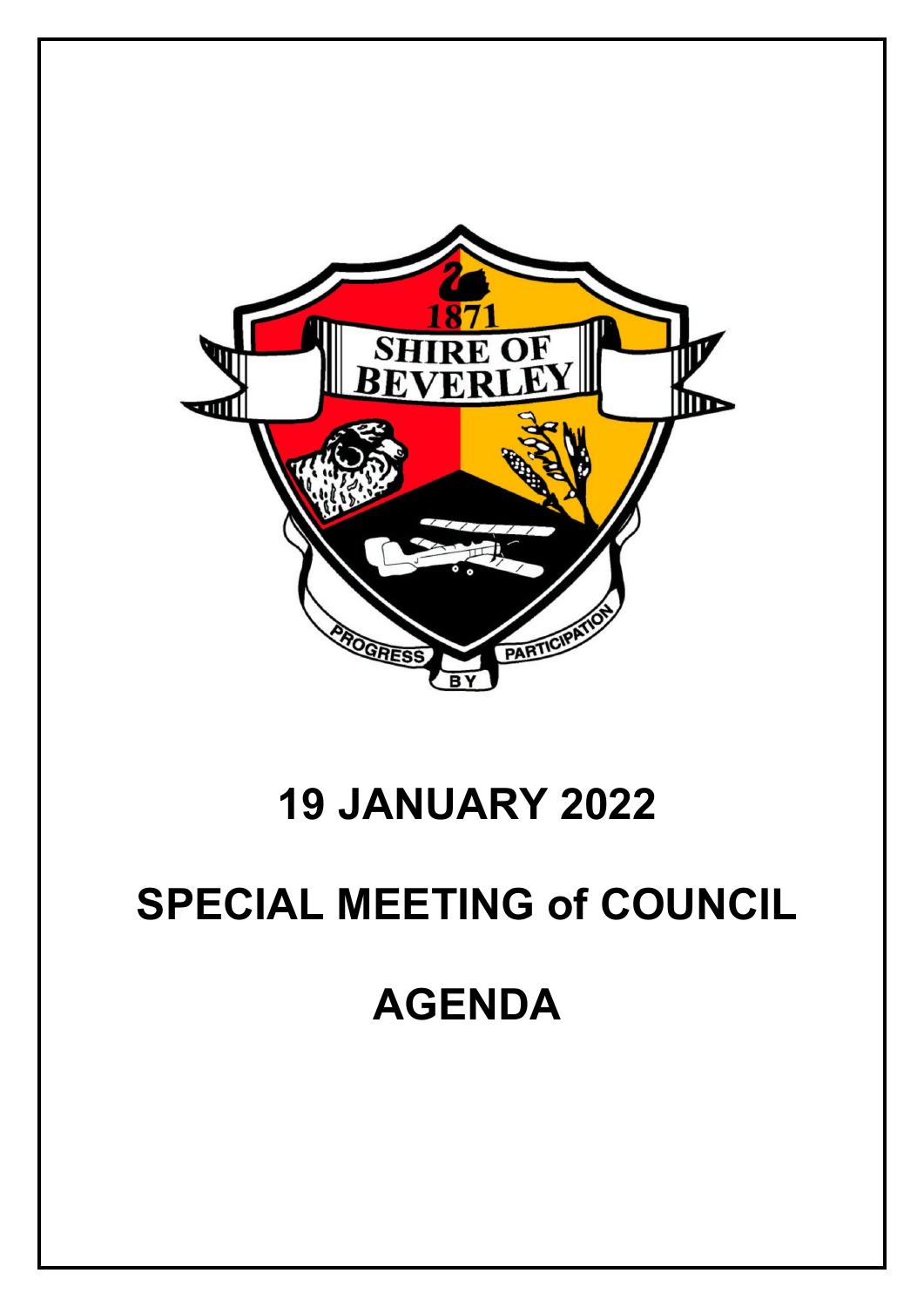

## **19 JANUARY 2022**

# **SPECIAL MEETING of COUNCIL**

## **AGENDA**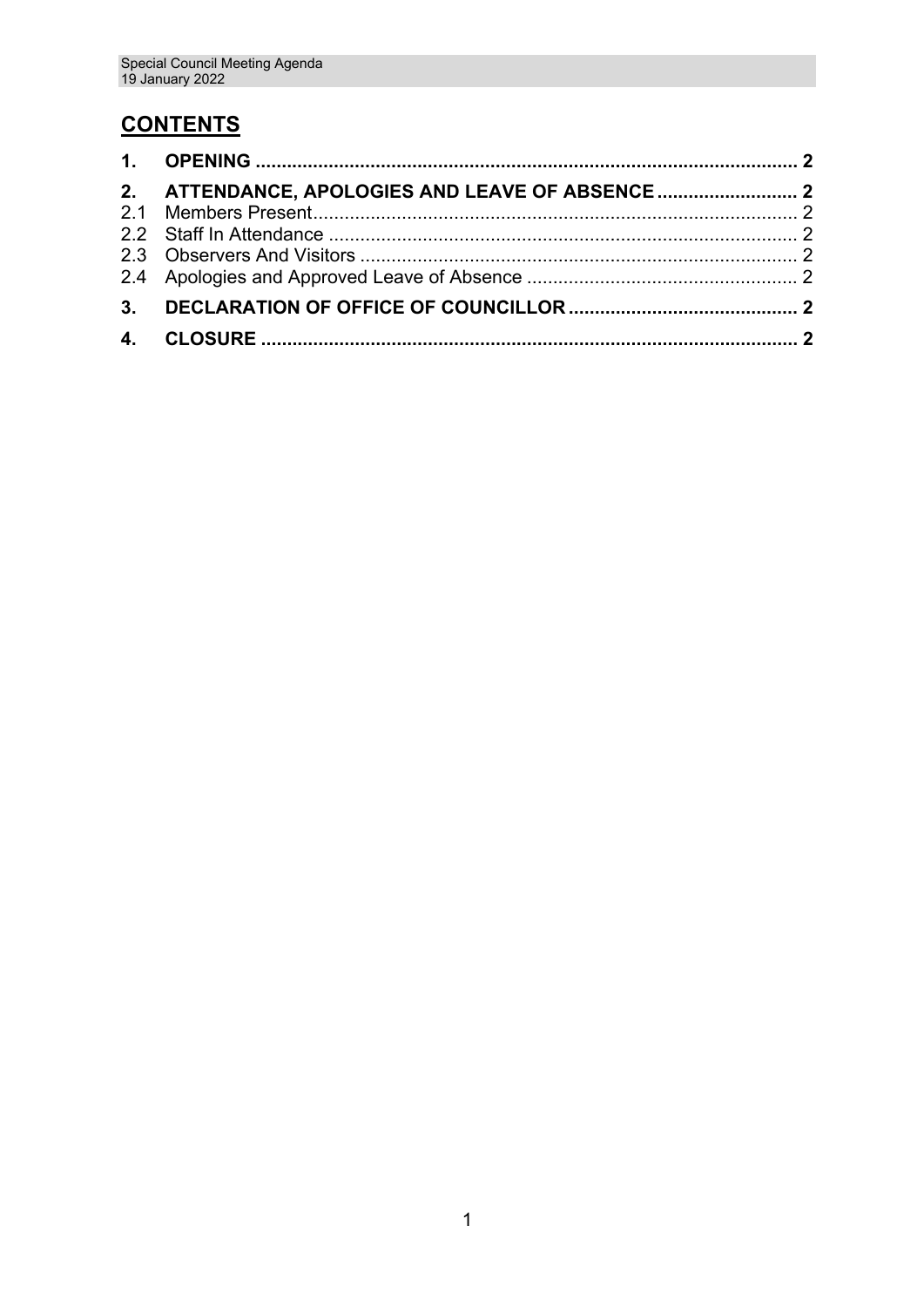### **CONTENTS**